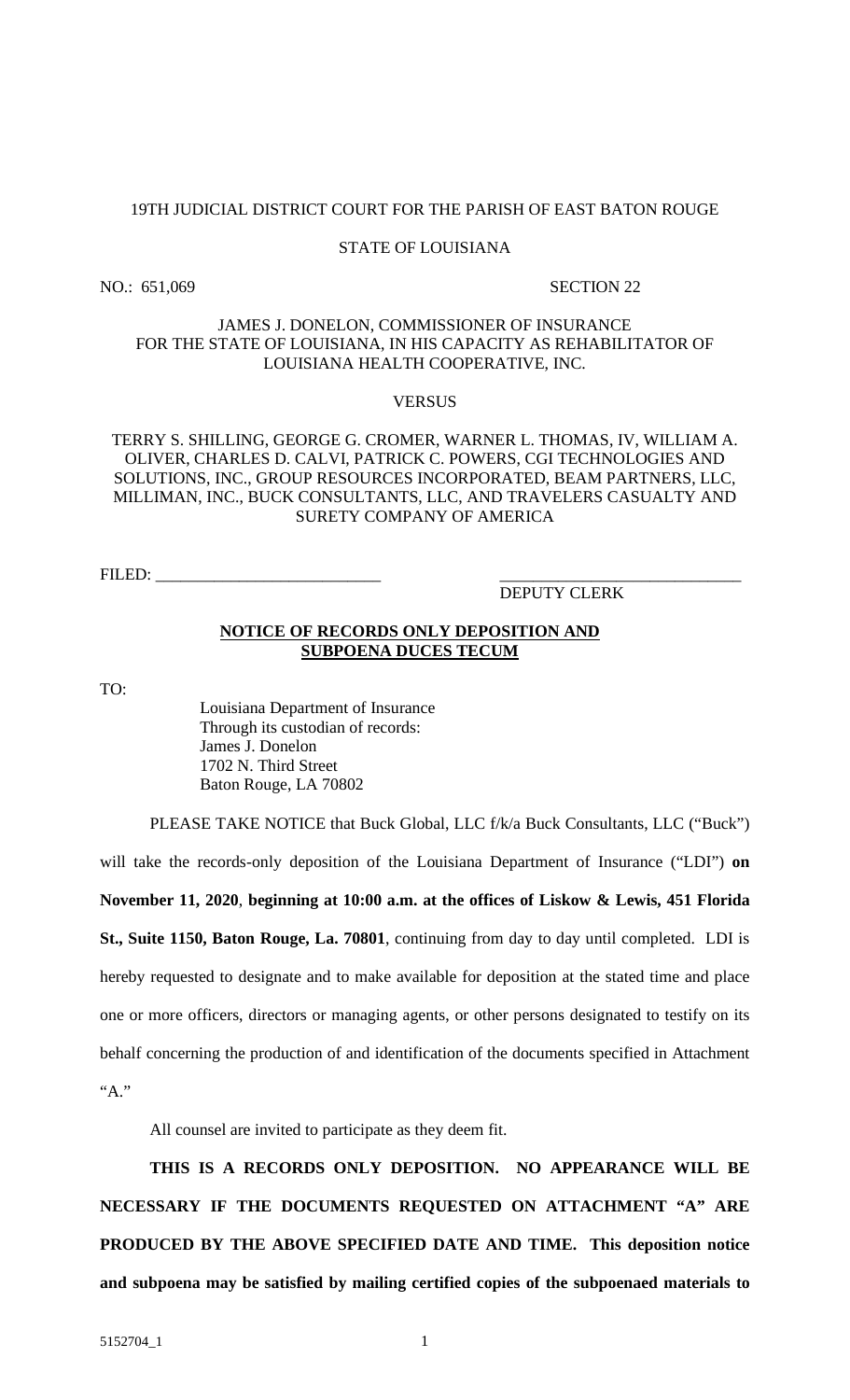#### 19TH JUDICIAL DISTRICT COURT FOR THE PARISH OF EAST BATON ROUGE

#### STATE OF LOUISIANA

NO.: 651,069 SECTION 22

#### JAMES J. DONELON, COMMISSIONER OF INSURANCE FOR THE STATE OF LOUISIANA, IN HIS CAPACITY AS REHABILITATOR OF LOUISIANA HEALTH COOPERATIVE, INC.

#### **VERSUS**

#### TERRY S. SHILLING, GEORGE G. CROMER, WARNER L. THOMAS, IV, WILLIAM A. OLIVER, CHARLES D. CALVI, PATRICK C. POWERS, CGI TECHNOLOGIES AND SOLUTIONS, INC., GROUP RESOURCES INCORPORATED, BEAM PARTNERS, LLC, MILLIMAN, INC., BUCK CONSULTANTS, LLC, AND TRAVELERS CASUALTY AND SURETY COMPANY OF AMERICA

FILED: \_\_\_\_\_\_\_\_\_\_\_\_\_\_\_\_\_\_\_\_\_\_\_\_\_\_\_ \_\_\_\_\_\_\_\_\_\_\_\_\_\_\_\_\_\_\_\_\_\_\_\_\_\_\_\_\_

#### DEPUTY CLERK

#### **NOTICE OF RECORDS ONLY DEPOSITION AND SUBPOENA DUCES TECUM**

TO:

Louisiana Department of Insurance Through its custodian of records: James J. Donelon 1702 N. Third Street Baton Rouge, LA 70802

PLEASE TAKE NOTICE that Buck Global, LLC f/k/a Buck Consultants, LLC ("Buck") will take the records-only deposition of the Louisiana Department of Insurance ("LDI") **on November 11, 2020**, **beginning at 10:00 a.m. at the offices of Liskow & Lewis, 451 Florida St., Suite 1150, Baton Rouge, La. 70801**, continuing from day to day until completed. LDI is hereby requested to designate and to make available for deposition at the stated time and place one or more officers, directors or managing agents, or other persons designated to testify on its behalf concerning the production of and identification of the documents specified in Attachment "A."

All counsel are invited to participate as they deem fit.

**THIS IS A RECORDS ONLY DEPOSITION. NO APPEARANCE WILL BE NECESSARY IF THE DOCUMENTS REQUESTED ON ATTACHMENT "A" ARE PRODUCED BY THE ABOVE SPECIFIED DATE AND TIME. This deposition notice and subpoena may be satisfied by mailing certified copies of the subpoenaed materials to**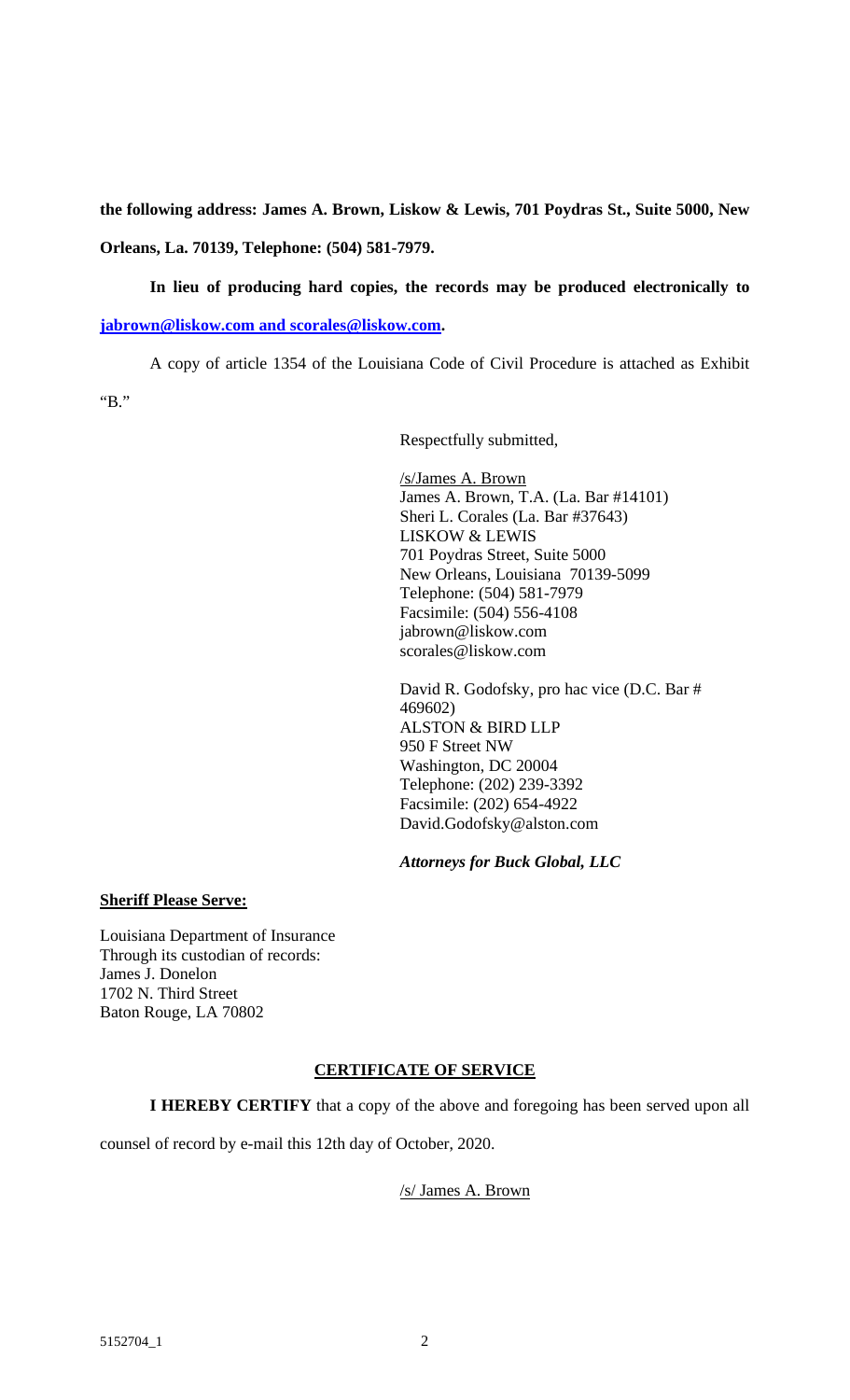**the following address: James A. Brown, Liskow & Lewis, 701 Poydras St., Suite 5000, New Orleans, La. 70139, Telephone: (504) 581-7979.** 

**In lieu of producing hard copies, the records may be produced electronically to** 

**jabrown@liskow.com and scorales@liskow.com.** 

A copy of article 1354 of the Louisiana Code of Civil Procedure is attached as Exhibit "B."

Respectfully submitted,

/s/James A. Brown James A. Brown, T.A. (La. Bar #14101) Sheri L. Corales (La. Bar #37643) LISKOW & LEWIS 701 Poydras Street, Suite 5000 New Orleans, Louisiana 70139-5099 Telephone: (504) 581-7979 Facsimile: (504) 556-4108 jabrown@liskow.com scorales@liskow.com

David R. Godofsky, pro hac vice (D.C. Bar # 469602) ALSTON & BIRD LLP 950 F Street NW Washington, DC 20004 Telephone: (202) 239-3392 Facsimile: (202) 654-4922 David.Godofsky@alston.com

# *Attorneys for Buck Global, LLC*

#### **Sheriff Please Serve:**

Louisiana Department of Insurance Through its custodian of records: James J. Donelon 1702 N. Third Street Baton Rouge, LA 70802

# **CERTIFICATE OF SERVICE**

**I HEREBY CERTIFY** that a copy of the above and foregoing has been served upon all

counsel of record by e-mail this 12th day of October, 2020.

# /s/ James A. Brown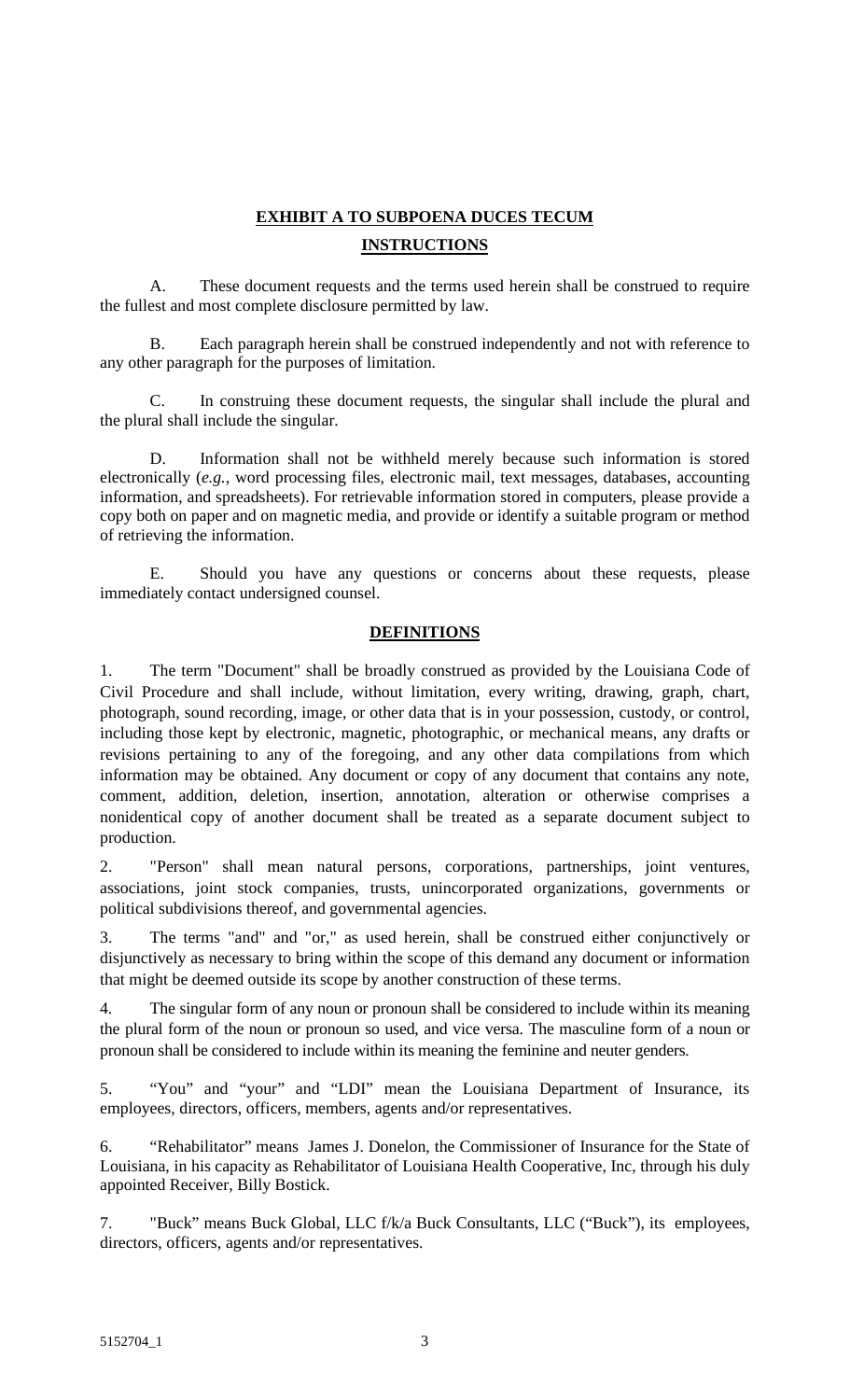# **EXHIBIT A TO SUBPOENA DUCES TECUM INSTRUCTIONS**

A. These document requests and the terms used herein shall be construed to require the fullest and most complete disclosure permitted by law.

B. Each paragraph herein shall be construed independently and not with reference to any other paragraph for the purposes of limitation.

C. In construing these document requests, the singular shall include the plural and the plural shall include the singular.

D. Information shall not be withheld merely because such information is stored electronically (*e.g.*, word processing files, electronic mail, text messages, databases, accounting information, and spreadsheets). For retrievable information stored in computers, please provide a copy both on paper and on magnetic media, and provide or identify a suitable program or method of retrieving the information.

E. Should you have any questions or concerns about these requests, please immediately contact undersigned counsel.

# **DEFINITIONS**

1. The term "Document" shall be broadly construed as provided by the Louisiana Code of Civil Procedure and shall include, without limitation, every writing, drawing, graph, chart, photograph, sound recording, image, or other data that is in your possession, custody, or control, including those kept by electronic, magnetic, photographic, or mechanical means, any drafts or revisions pertaining to any of the foregoing, and any other data compilations from which information may be obtained. Any document or copy of any document that contains any note, comment, addition, deletion, insertion, annotation, alteration or otherwise comprises a nonidentical copy of another document shall be treated as a separate document subject to production.

2. "Person" shall mean natural persons, corporations, partnerships, joint ventures, associations, joint stock companies, trusts, unincorporated organizations, governments or political subdivisions thereof, and governmental agencies.

3. The terms "and" and "or," as used herein, shall be construed either conjunctively or disjunctively as necessary to bring within the scope of this demand any document or information that might be deemed outside its scope by another construction of these terms.

4. The singular form of any noun or pronoun shall be considered to include within its meaning the plural form of the noun or pronoun so used, and vice versa. The masculine form of a noun or pronoun shall be considered to include within its meaning the feminine and neuter genders.

5. "You" and "your" and "LDI" mean the Louisiana Department of Insurance, its employees, directors, officers, members, agents and/or representatives.

6. "Rehabilitator" means James J. Donelon, the Commissioner of Insurance for the State of Louisiana, in his capacity as Rehabilitator of Louisiana Health Cooperative, Inc, through his duly appointed Receiver, Billy Bostick.

7. "Buck" means Buck Global, LLC f/k/a Buck Consultants, LLC ("Buck"), its employees, directors, officers, agents and/or representatives.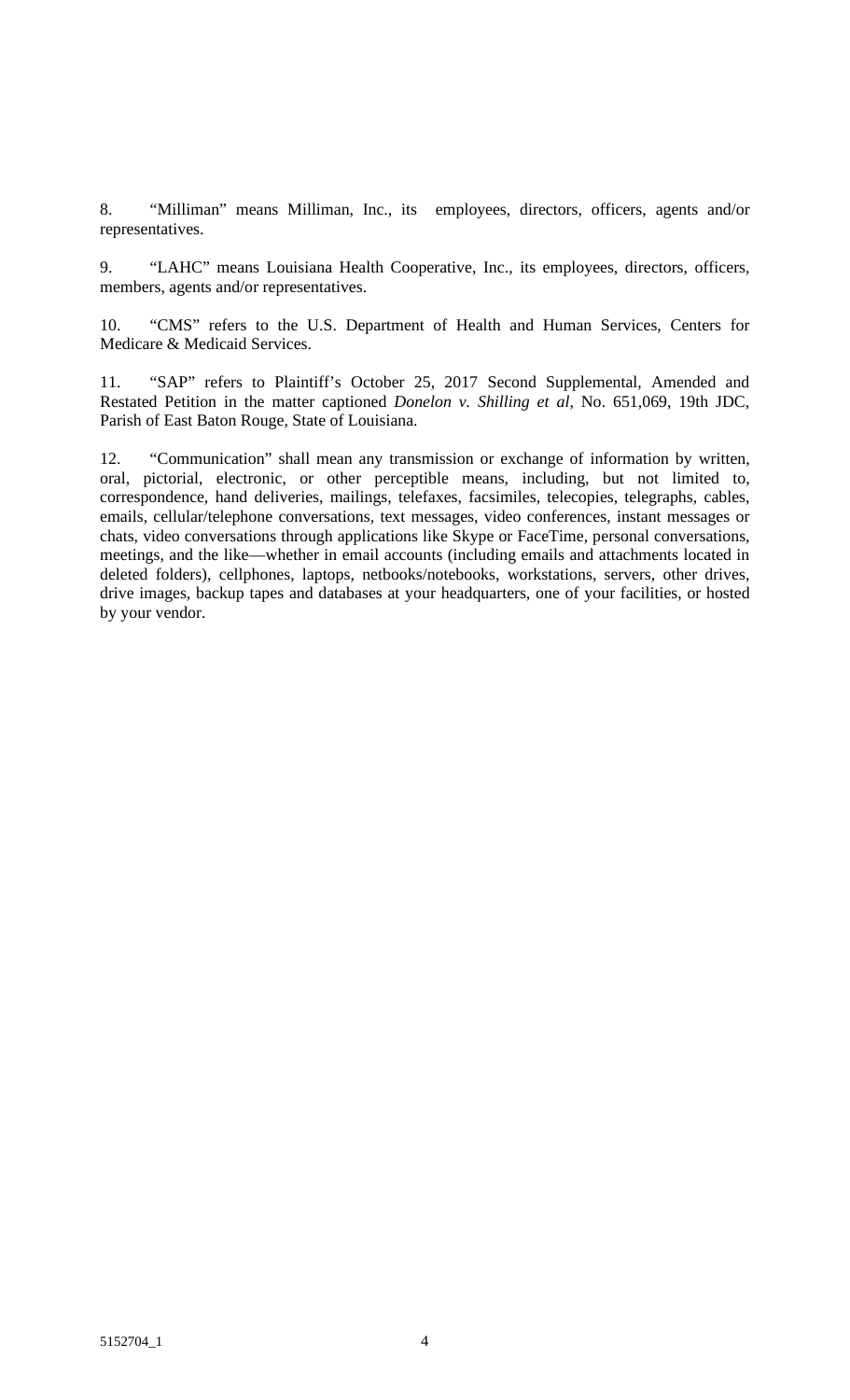8. "Milliman" means Milliman, Inc., its employees, directors, officers, agents and/or representatives.

9. "LAHC" means Louisiana Health Cooperative, Inc., its employees, directors, officers, members, agents and/or representatives.

10. "CMS" refers to the U.S. Department of Health and Human Services, Centers for Medicare & Medicaid Services.

11. "SAP" refers to Plaintiff's October 25, 2017 Second Supplemental, Amended and Restated Petition in the matter captioned *Donelon v. Shilling et al*, No. 651,069, 19th JDC, Parish of East Baton Rouge, State of Louisiana.

12. "Communication" shall mean any transmission or exchange of information by written, oral, pictorial, electronic, or other perceptible means, including, but not limited to, correspondence, hand deliveries, mailings, telefaxes, facsimiles, telecopies, telegraphs, cables, emails, cellular/telephone conversations, text messages, video conferences, instant messages or chats, video conversations through applications like Skype or FaceTime, personal conversations, meetings, and the like—whether in email accounts (including emails and attachments located in deleted folders), cellphones, laptops, netbooks/notebooks, workstations, servers, other drives, drive images, backup tapes and databases at your headquarters, one of your facilities, or hosted by your vendor.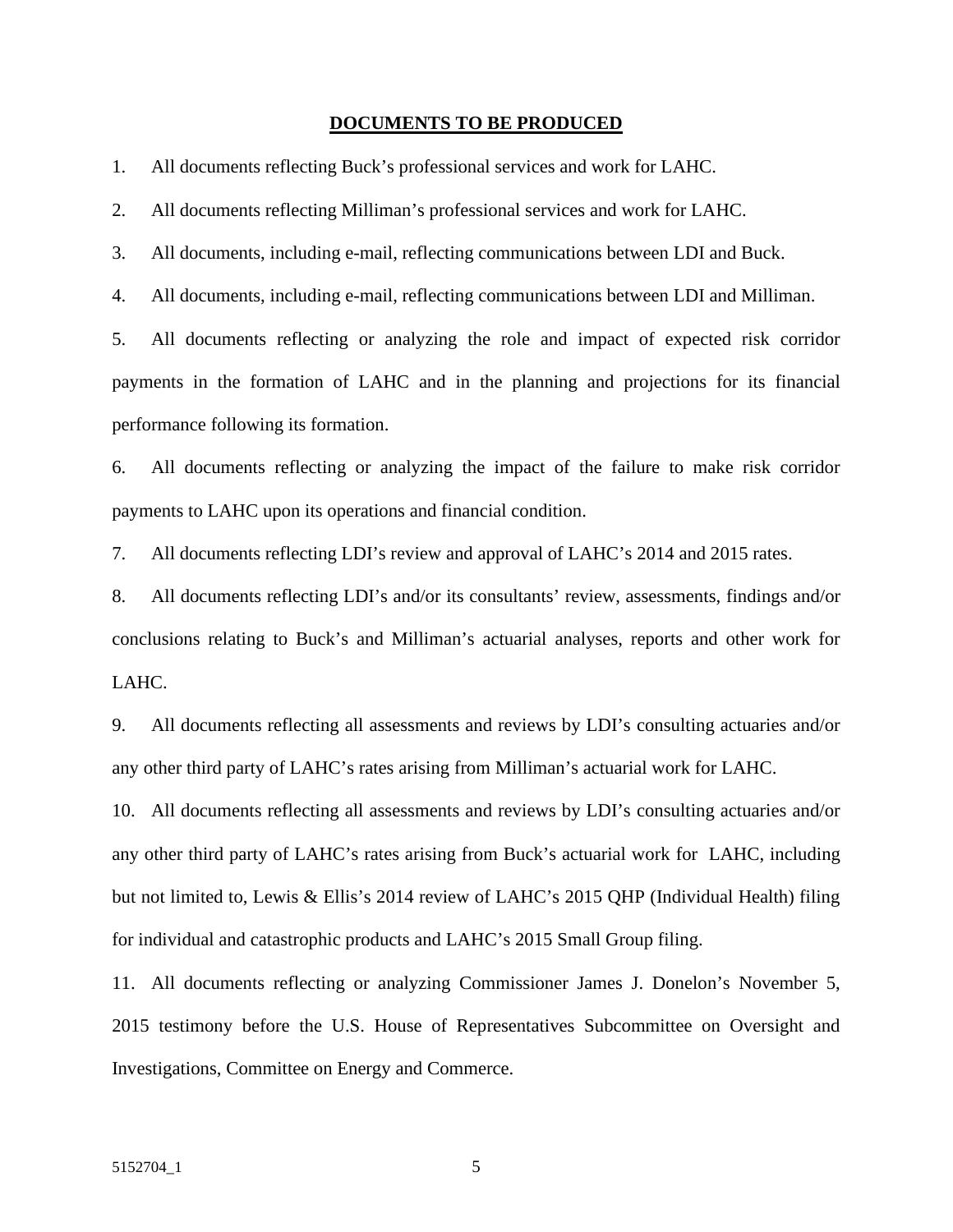#### **DOCUMENTS TO BE PRODUCED**

1. All documents reflecting Buck's professional services and work for LAHC.

2. All documents reflecting Milliman's professional services and work for LAHC.

3. All documents, including e-mail, reflecting communications between LDI and Buck.

4. All documents, including e-mail, reflecting communications between LDI and Milliman.

5. All documents reflecting or analyzing the role and impact of expected risk corridor payments in the formation of LAHC and in the planning and projections for its financial performance following its formation.

6. All documents reflecting or analyzing the impact of the failure to make risk corridor payments to LAHC upon its operations and financial condition.

7. All documents reflecting LDI's review and approval of LAHC's 2014 and 2015 rates.

8. All documents reflecting LDI's and/or its consultants' review, assessments, findings and/or conclusions relating to Buck's and Milliman's actuarial analyses, reports and other work for LAHC.

9. All documents reflecting all assessments and reviews by LDI's consulting actuaries and/or any other third party of LAHC's rates arising from Milliman's actuarial work for LAHC.

10. All documents reflecting all assessments and reviews by LDI's consulting actuaries and/or any other third party of LAHC's rates arising from Buck's actuarial work for LAHC, including but not limited to, Lewis & Ellis's 2014 review of LAHC's 2015 QHP (Individual Health) filing for individual and catastrophic products and LAHC's 2015 Small Group filing.

11. All documents reflecting or analyzing Commissioner James J. Donelon's November 5, 2015 testimony before the U.S. House of Representatives Subcommittee on Oversight and Investigations, Committee on Energy and Commerce.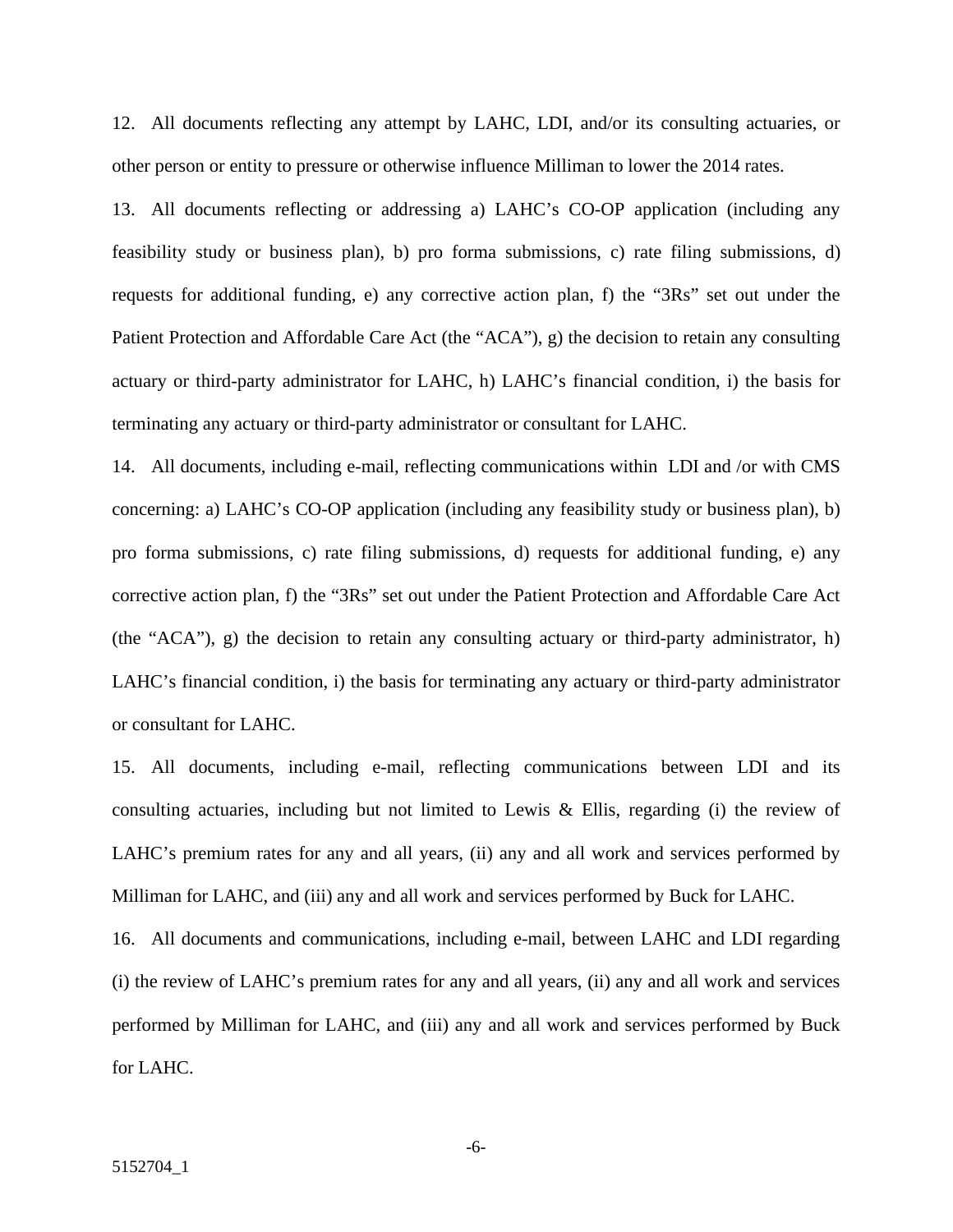12. All documents reflecting any attempt by LAHC, LDI, and/or its consulting actuaries, or other person or entity to pressure or otherwise influence Milliman to lower the 2014 rates.

13. All documents reflecting or addressing a) LAHC's CO-OP application (including any feasibility study or business plan), b) pro forma submissions, c) rate filing submissions, d) requests for additional funding, e) any corrective action plan, f) the "3Rs" set out under the Patient Protection and Affordable Care Act (the "ACA"), g) the decision to retain any consulting actuary or third-party administrator for LAHC, h) LAHC's financial condition, i) the basis for terminating any actuary or third-party administrator or consultant for LAHC.

14. All documents, including e-mail, reflecting communications within LDI and /or with CMS concerning: a) LAHC's CO-OP application (including any feasibility study or business plan), b) pro forma submissions, c) rate filing submissions, d) requests for additional funding, e) any corrective action plan, f) the "3Rs" set out under the Patient Protection and Affordable Care Act (the "ACA"), g) the decision to retain any consulting actuary or third-party administrator, h) LAHC's financial condition, i) the basis for terminating any actuary or third-party administrator or consultant for LAHC.

15. All documents, including e-mail, reflecting communications between LDI and its consulting actuaries, including but not limited to Lewis & Ellis, regarding (i) the review of LAHC's premium rates for any and all years, (ii) any and all work and services performed by Milliman for LAHC, and (iii) any and all work and services performed by Buck for LAHC.

16. All documents and communications, including e-mail, between LAHC and LDI regarding (i) the review of LAHC's premium rates for any and all years, (ii) any and all work and services performed by Milliman for LAHC, and (iii) any and all work and services performed by Buck for LAHC.

-6-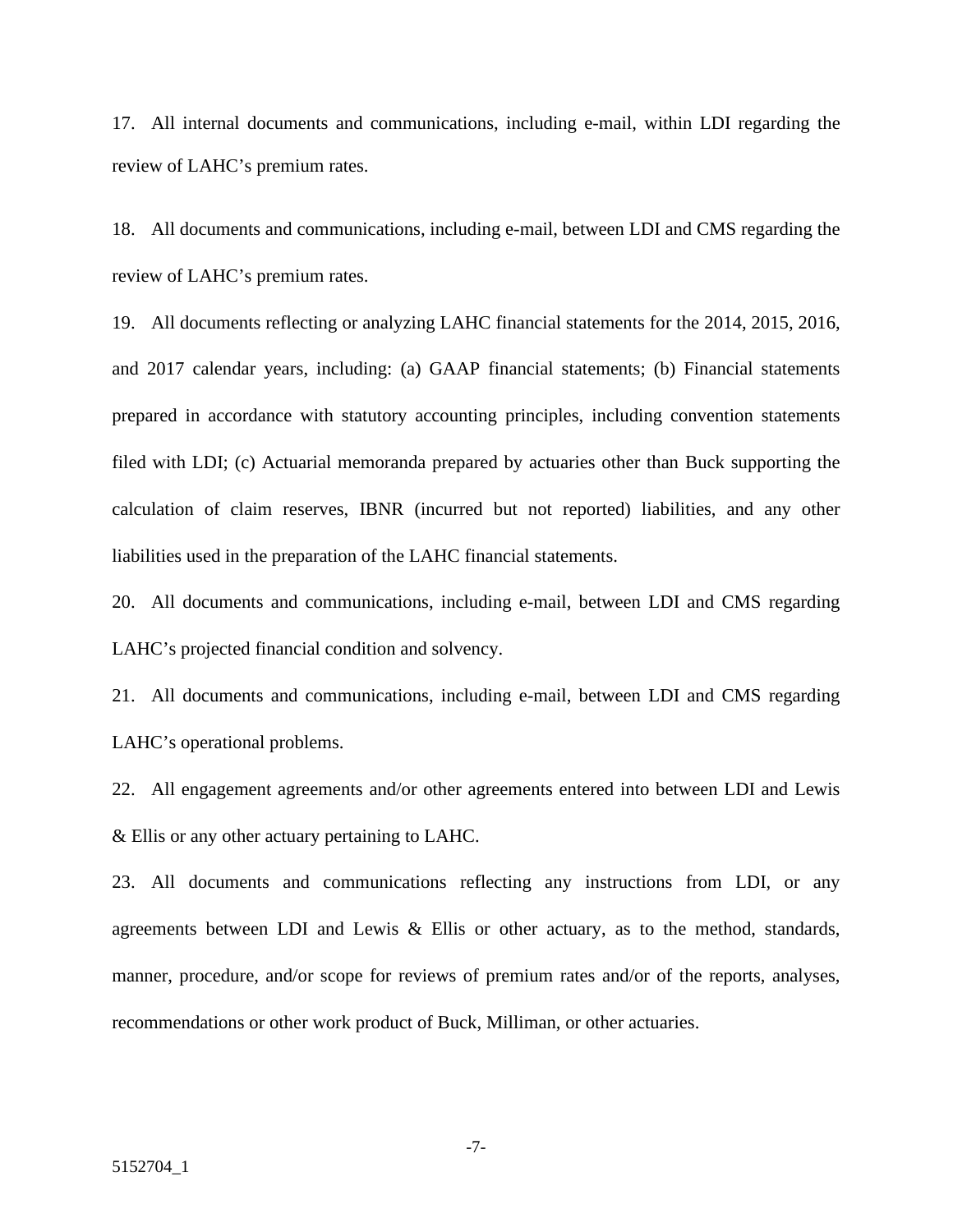17. All internal documents and communications, including e-mail, within LDI regarding the review of LAHC's premium rates.

18. All documents and communications, including e-mail, between LDI and CMS regarding the review of LAHC's premium rates.

19. All documents reflecting or analyzing LAHC financial statements for the 2014, 2015, 2016, and 2017 calendar years, including: (a) GAAP financial statements; (b) Financial statements prepared in accordance with statutory accounting principles, including convention statements filed with LDI; (c) Actuarial memoranda prepared by actuaries other than Buck supporting the calculation of claim reserves, IBNR (incurred but not reported) liabilities, and any other liabilities used in the preparation of the LAHC financial statements.

20. All documents and communications, including e-mail, between LDI and CMS regarding LAHC's projected financial condition and solvency.

21. All documents and communications, including e-mail, between LDI and CMS regarding LAHC's operational problems.

22. All engagement agreements and/or other agreements entered into between LDI and Lewis & Ellis or any other actuary pertaining to LAHC.

23. All documents and communications reflecting any instructions from LDI, or any agreements between LDI and Lewis & Ellis or other actuary, as to the method, standards, manner, procedure, and/or scope for reviews of premium rates and/or of the reports, analyses, recommendations or other work product of Buck, Milliman, or other actuaries.

-7-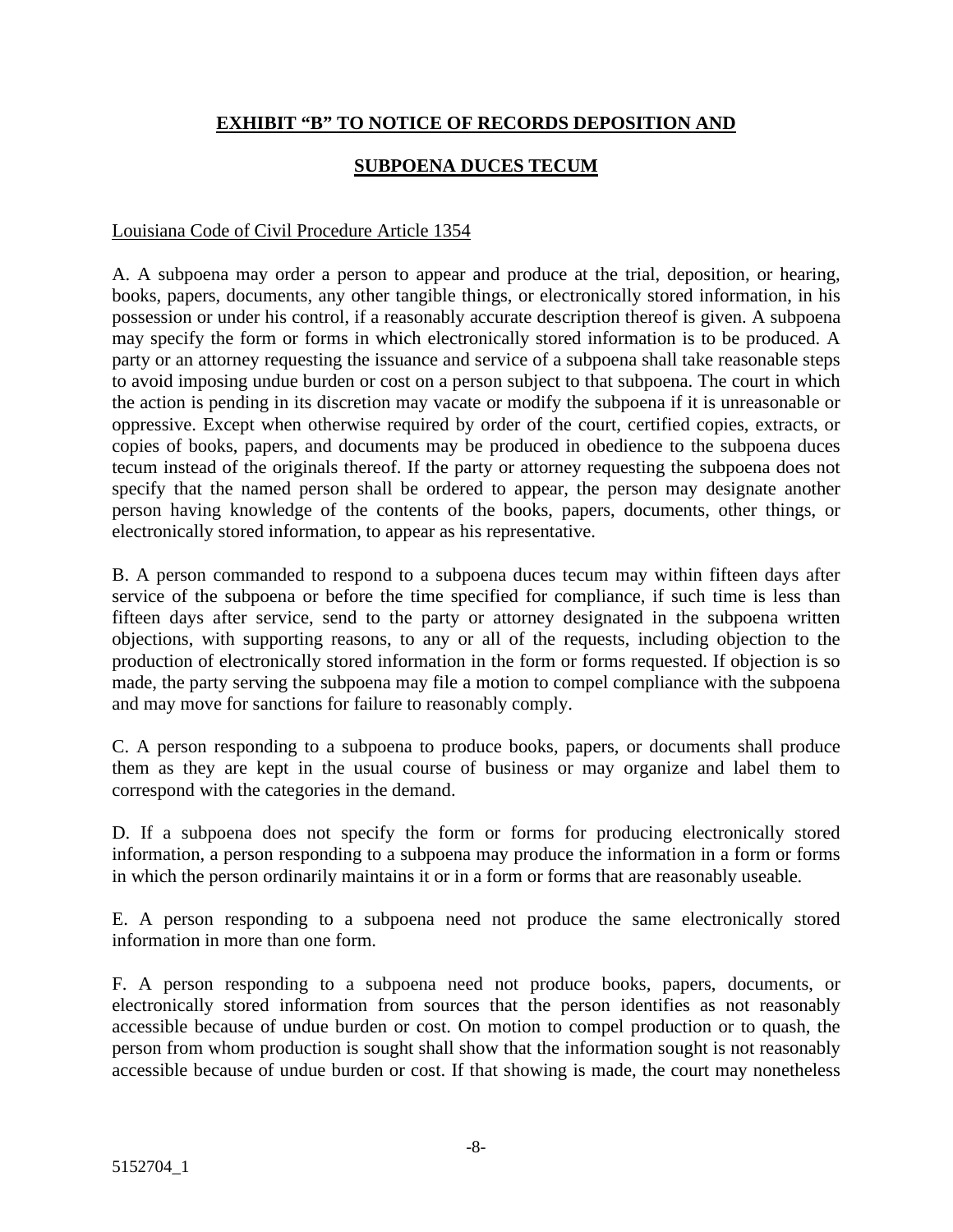#### **EXHIBIT "B" TO NOTICE OF RECORDS DEPOSITION AND**

#### **SUBPOENA DUCES TECUM**

#### Louisiana Code of Civil Procedure Article 1354

A. A subpoena may order a person to appear and produce at the trial, deposition, or hearing, books, papers, documents, any other tangible things, or electronically stored information, in his possession or under his control, if a reasonably accurate description thereof is given. A subpoena may specify the form or forms in which electronically stored information is to be produced. A party or an attorney requesting the issuance and service of a subpoena shall take reasonable steps to avoid imposing undue burden or cost on a person subject to that subpoena. The court in which the action is pending in its discretion may vacate or modify the subpoena if it is unreasonable or oppressive. Except when otherwise required by order of the court, certified copies, extracts, or copies of books, papers, and documents may be produced in obedience to the subpoena duces tecum instead of the originals thereof. If the party or attorney requesting the subpoena does not specify that the named person shall be ordered to appear, the person may designate another person having knowledge of the contents of the books, papers, documents, other things, or electronically stored information, to appear as his representative.

B. A person commanded to respond to a subpoena duces tecum may within fifteen days after service of the subpoena or before the time specified for compliance, if such time is less than fifteen days after service, send to the party or attorney designated in the subpoena written objections, with supporting reasons, to any or all of the requests, including objection to the production of electronically stored information in the form or forms requested. If objection is so made, the party serving the subpoena may file a motion to compel compliance with the subpoena and may move for sanctions for failure to reasonably comply.

C. A person responding to a subpoena to produce books, papers, or documents shall produce them as they are kept in the usual course of business or may organize and label them to correspond with the categories in the demand.

D. If a subpoena does not specify the form or forms for producing electronically stored information, a person responding to a subpoena may produce the information in a form or forms in which the person ordinarily maintains it or in a form or forms that are reasonably useable.

E. A person responding to a subpoena need not produce the same electronically stored information in more than one form.

F. A person responding to a subpoena need not produce books, papers, documents, or electronically stored information from sources that the person identifies as not reasonably accessible because of undue burden or cost. On motion to compel production or to quash, the person from whom production is sought shall show that the information sought is not reasonably accessible because of undue burden or cost. If that showing is made, the court may nonetheless